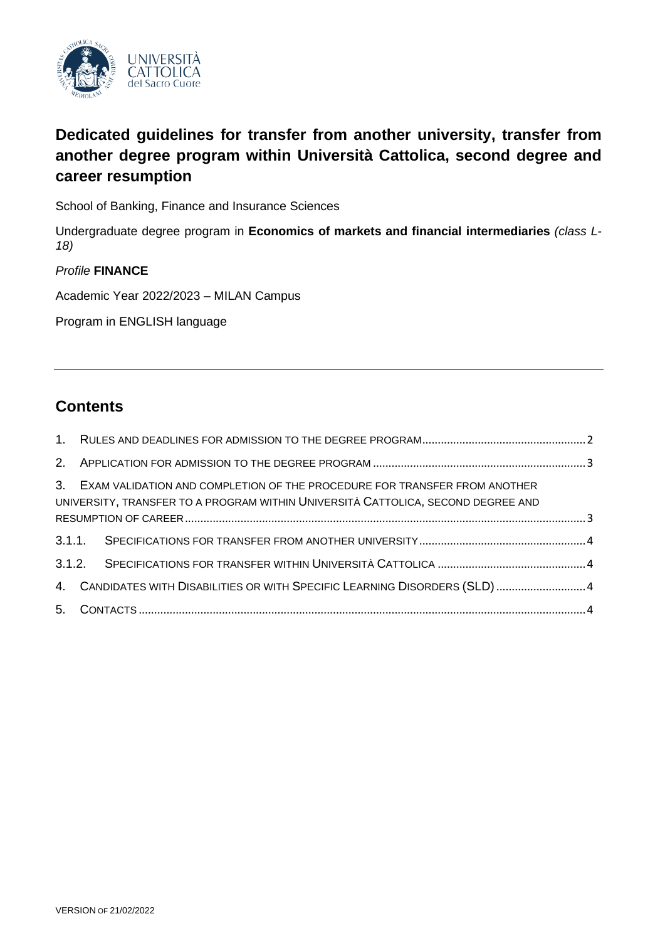

# **Dedicated guidelines for transfer from another university, transfer from another degree program within Università Cattolica, second degree and career resumption**

School of Banking, Finance and Insurance Sciences

Undergraduate degree program in **Economics of markets and financial intermediaries** *(class L-18)*

## *Profile* **FINANCE**

Academic Year 2022/2023 – MILAN Campus

Program in ENGLISH language

# **Contents**

|  | 3. EXAM VALIDATION AND COMPLETION OF THE PROCEDURE FOR TRANSFER FROM ANOTHER<br>UNIVERSITY, TRANSFER TO A PROGRAM WITHIN UNIVERSITÀ CATTOLICA, SECOND DEGREE AND |  |
|--|------------------------------------------------------------------------------------------------------------------------------------------------------------------|--|
|  |                                                                                                                                                                  |  |
|  |                                                                                                                                                                  |  |
|  |                                                                                                                                                                  |  |
|  | 4. CANDIDATES WITH DISABILITIES OR WITH SPECIFIC LEARNING DISORDERS (SLD)  4                                                                                     |  |
|  |                                                                                                                                                                  |  |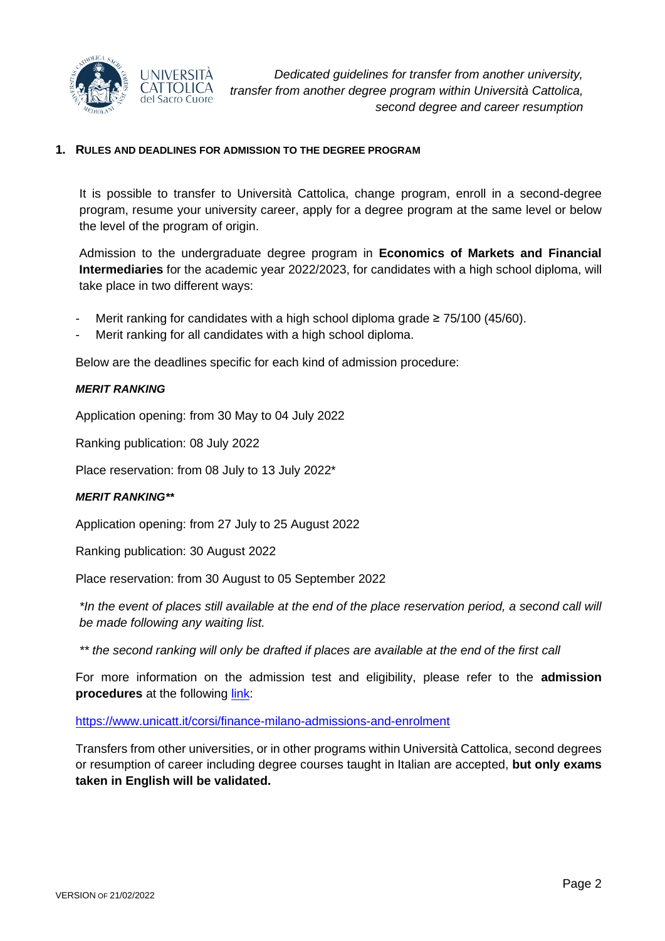

#### <span id="page-1-0"></span>**1. RULES AND DEADLINES FOR ADMISSION TO THE DEGREE PROGRAM**

It is possible to transfer to Università Cattolica, change program, enroll in a second-degree program, resume your university career, apply for a degree program at the same level or below the level of the program of origin.

Admission to the undergraduate degree program in **Economics of Markets and Financial Intermediaries** for the academic year 2022/2023, for candidates with a high school diploma, will take place in two different ways:

- Merit ranking for candidates with a high school diploma grade  $\geq 75/100$  (45/60).
- Merit ranking for all candidates with a high school diploma.

Below are the deadlines specific for each kind of admission procedure:

#### *MERIT RANKING*

Application opening: from 30 May to 04 July 2022

Ranking publication: 08 July 2022

Place reservation: from 08 July to 13 July 2022\*

#### *MERIT RANKING\*\**

Application opening: from 27 July to 25 August 2022

Ranking publication: 30 August 2022

Place reservation: from 30 August to 05 September 2022

*\*In the event of places still available at the end of the place reservation period, a second call will be made following any waiting list.*

*\*\* the second ranking will only be drafted if places are available at the end of the first call*

For more information on the admission test and eligibility, please refer to the **admission procedures** at the following [link:](https://www.unicatt.it/corsi/finance-milano-admissions-and-enrolment)

<https://www.unicatt.it/corsi/finance-milano-admissions-and-enrolment>

Transfers from other universities, or in other programs within Università Cattolica, second degrees or resumption of career including degree courses taught in Italian are accepted, **but only exams taken in English will be validated.**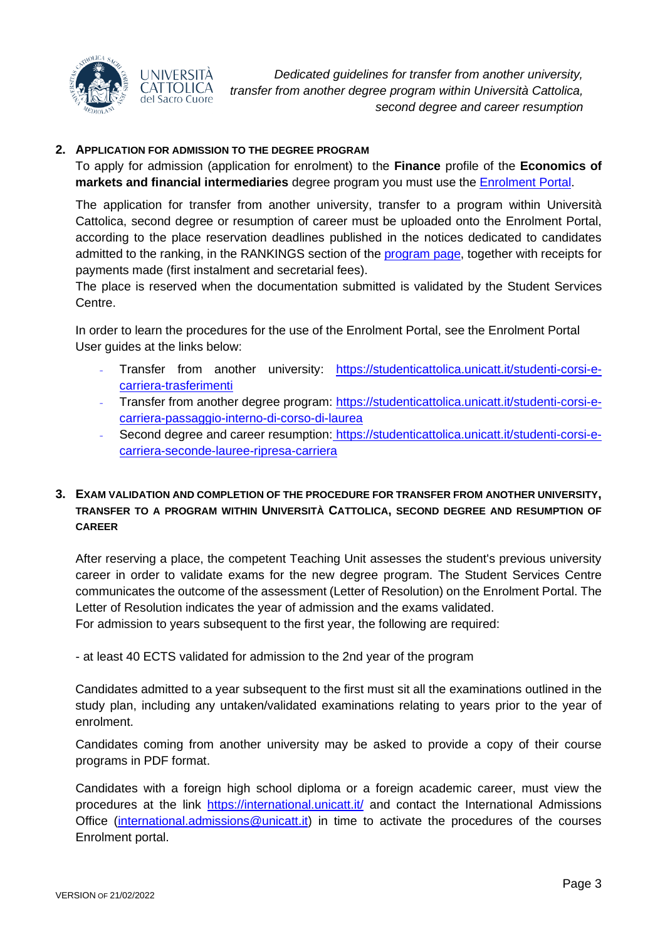

#### <span id="page-2-0"></span>**2. APPLICATION FOR ADMISSION TO THE DEGREE PROGRAM**

To apply for admission (application for enrolment) to the **Finance** profile of the **Economics of markets and financial intermediaries** degree program you must use the [Enrolment](https://iscrizioni.unicatt.it/iscrizioni) Portal.

The application for transfer from another university, transfer to a program within Università Cattolica, second degree or resumption of career must be uploaded onto the Enrolment Portal, according to the place reservation deadlines published in the notices dedicated to candidates admitted to the ranking, in the RANKINGS section of the **program page**, together with receipts for payments made (first instalment and secretarial fees).

The place is reserved when the documentation submitted is validated by the Student Services Centre.

In order to learn the procedures for the use of the Enrolment Portal, see the Enrolment Portal User guides at the links below:

- Transfer from another university: [https://studenticattolica.unicatt.it/studenti-corsi-e](https://studenticattolica.unicatt.it/studenti-corsi-e-carriera-trasferimenti)[carriera-trasferimenti](https://studenticattolica.unicatt.it/studenti-corsi-e-carriera-trasferimenti)
- Transfer from another degree program: [https://studenticattolica.unicatt.it/studenti-corsi-e](https://studenticattolica.unicatt.it/studenti-corsi-e-carriera-passaggio-interno-di-corso-di-laurea)[carriera-passaggio-interno-di-corso-di-laurea](https://studenticattolica.unicatt.it/studenti-corsi-e-carriera-passaggio-interno-di-corso-di-laurea)
- Second degree and career resumption: [https://studenticattolica.unicatt.it/studenti-corsi-e](https://studenticattolica.unicatt.it/studenti-corsi-e-carriera-seconde-lauree-ripresa-carriera)[carriera-seconde-lauree-ripresa-carriera](https://studenticattolica.unicatt.it/studenti-corsi-e-carriera-seconde-lauree-ripresa-carriera)

## <span id="page-2-1"></span>**3. EXAM VALIDATION AND COMPLETION OF THE PROCEDURE FOR TRANSFER FROM ANOTHER UNIVERSITY, TRANSFER TO A PROGRAM WITHIN UNIVERSITÀ CATTOLICA, SECOND DEGREE AND RESUMPTION OF CAREER**

After reserving a place, the competent Teaching Unit assesses the student's previous university career in order to validate exams for the new degree program. The Student Services Centre communicates the outcome of the assessment (Letter of Resolution) on the Enrolment Portal. The Letter of Resolution indicates the year of admission and the exams validated.

For admission to years subsequent to the first year, the following are required:

- at least 40 ECTS validated for admission to the 2nd year of the program

Candidates admitted to a year subsequent to the first must sit all the examinations outlined in the study plan, including any untaken/validated examinations relating to years prior to the year of enrolment.

Candidates coming from another university may be asked to provide a copy of their course programs in PDF format.

Candidates with a foreign high school diploma or a foreign academic career, must view the procedures at the link<https://international.unicatt.it/> and contact the International Admissions Office [\(international.admissions@unicatt.it\)](mailto:international.admissions@unicatt.it) in time to activate the procedures of the courses Enrolment portal.